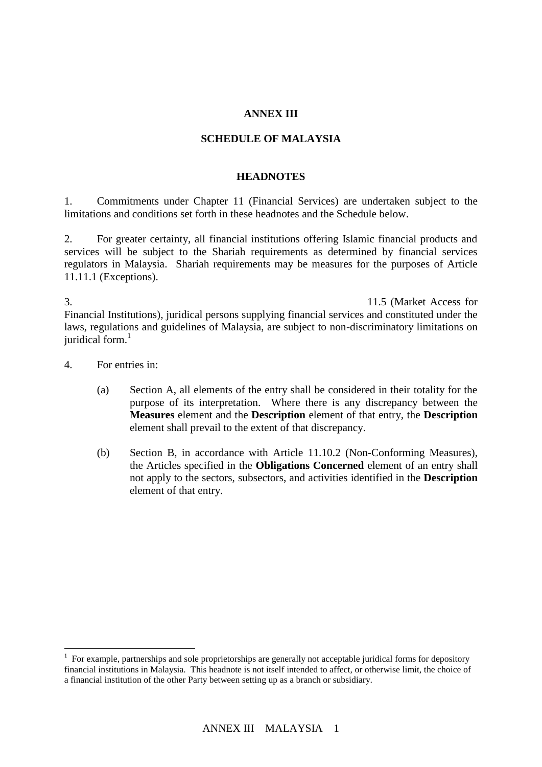### **ANNEX III**

### **SCHEDULE OF MALAYSIA**

#### **HEADNOTES**

1. Commitments under Chapter 11 (Financial Services) are undertaken subject to the limitations and conditions set forth in these headnotes and the Schedule below.

2. For greater certainty, all financial institutions offering Islamic financial products and services will be subject to the Shariah requirements as determined by financial services regulators in Malaysia. Shariah requirements may be measures for the purposes of Article 11.11.1 (Exceptions).

3. To clarify Malaysia's commitments with respect to Article 11.5 (Market Access for Financial Institutions), juridical persons supplying financial services and constituted under the laws, regulations and guidelines of Malaysia, are subject to non-discriminatory limitations on juridical form.<sup>1</sup>

4. For entries in:

 $\overline{a}$ 

- (a) Section A, all elements of the entry shall be considered in their totality for the purpose of its interpretation. Where there is any discrepancy between the **Measures** element and the **Description** element of that entry, the **Description** element shall prevail to the extent of that discrepancy.
- (b) Section B, in accordance with Article 11.10.2 (Non-Conforming Measures), the Articles specified in the **Obligations Concerned** element of an entry shall not apply to the sectors, subsectors, and activities identified in the **Description** element of that entry.

 $1$  For example, partnerships and sole proprietorships are generally not acceptable juridical forms for depository financial institutions in Malaysia. This headnote is not itself intended to affect, or otherwise limit, the choice of a financial institution of the other Party between setting up as a branch or subsidiary.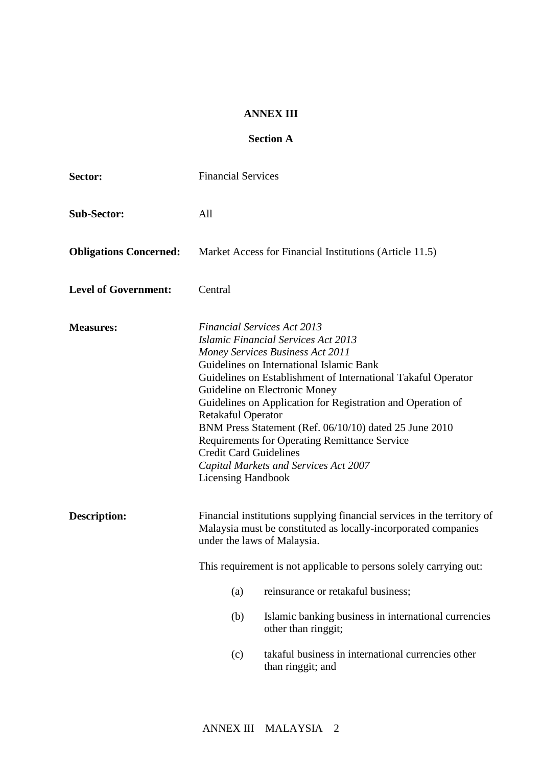### **ANNEX III**

## **Section A**

| Sector:                       | <b>Financial Services</b>                                                                                                                                                                                                                      |                                                                                                                                                                                                                                                                                                                                                                                                                                                               |  |
|-------------------------------|------------------------------------------------------------------------------------------------------------------------------------------------------------------------------------------------------------------------------------------------|---------------------------------------------------------------------------------------------------------------------------------------------------------------------------------------------------------------------------------------------------------------------------------------------------------------------------------------------------------------------------------------------------------------------------------------------------------------|--|
| <b>Sub-Sector:</b>            | All                                                                                                                                                                                                                                            |                                                                                                                                                                                                                                                                                                                                                                                                                                                               |  |
| <b>Obligations Concerned:</b> |                                                                                                                                                                                                                                                | Market Access for Financial Institutions (Article 11.5)                                                                                                                                                                                                                                                                                                                                                                                                       |  |
| <b>Level of Government:</b>   | Central                                                                                                                                                                                                                                        |                                                                                                                                                                                                                                                                                                                                                                                                                                                               |  |
| <b>Measures:</b>              | <b>Financial Services Act 2013</b><br>Retakaful Operator<br><b>Credit Card Guidelines</b><br><b>Licensing Handbook</b>                                                                                                                         | <b>Islamic Financial Services Act 2013</b><br><b>Money Services Business Act 2011</b><br>Guidelines on International Islamic Bank<br>Guidelines on Establishment of International Takaful Operator<br>Guideline on Electronic Money<br>Guidelines on Application for Registration and Operation of<br>BNM Press Statement (Ref. 06/10/10) dated 25 June 2010<br><b>Requirements for Operating Remittance Service</b><br>Capital Markets and Services Act 2007 |  |
| Description:                  | Financial institutions supplying financial services in the territory of<br>Malaysia must be constituted as locally-incorporated companies<br>under the laws of Malaysia.<br>This requirement is not applicable to persons solely carrying out: |                                                                                                                                                                                                                                                                                                                                                                                                                                                               |  |
|                               | (a)                                                                                                                                                                                                                                            | reinsurance or retakaful business;                                                                                                                                                                                                                                                                                                                                                                                                                            |  |
|                               | (b)                                                                                                                                                                                                                                            | Islamic banking business in international currencies<br>other than ringgit;                                                                                                                                                                                                                                                                                                                                                                                   |  |
|                               | (c)                                                                                                                                                                                                                                            | takaful business in international currencies other<br>than ringgit; and                                                                                                                                                                                                                                                                                                                                                                                       |  |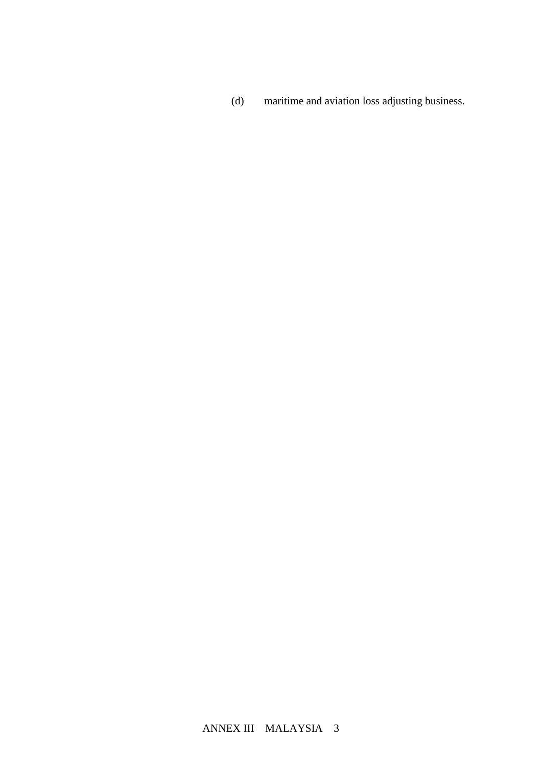(d) maritime and aviation loss adjusting business.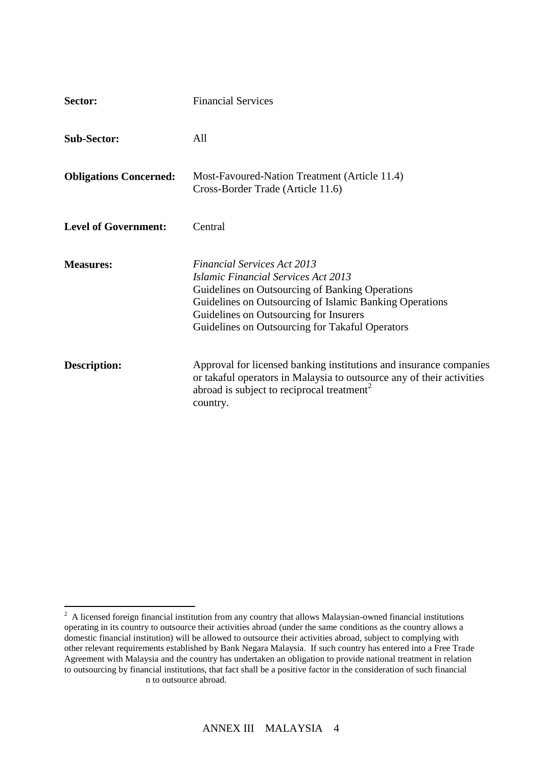| <b>Sector:</b>                | <b>Financial Services</b>                                                                                                                                                                                                                                                                   |
|-------------------------------|---------------------------------------------------------------------------------------------------------------------------------------------------------------------------------------------------------------------------------------------------------------------------------------------|
| <b>Sub-Sector:</b>            | All                                                                                                                                                                                                                                                                                         |
| <b>Obligations Concerned:</b> | Most-Favoured-Nation Treatment (Article 11.4)<br>Cross-Border Trade (Article 11.6)                                                                                                                                                                                                          |
| <b>Level of Government:</b>   | Central                                                                                                                                                                                                                                                                                     |
| <b>Measures:</b>              | <b>Financial Services Act 2013</b><br><b>Islamic Financial Services Act 2013</b><br>Guidelines on Outsourcing of Banking Operations<br>Guidelines on Outsourcing of Islamic Banking Operations<br>Guidelines on Outsourcing for Insurers<br>Guidelines on Outsourcing for Takaful Operators |
| <b>Description:</b>           | Approval for licensed banking institutions and insurance companies<br>or takaful operators in Malaysia to outsource any of their activities<br>abroad is subject to reciprocal treatment <sup>2</sup><br>country.                                                                           |

<sup>&</sup>lt;sup>2</sup> A licensed foreign financial institution from any country that allows Malaysian-owned financial institutions operating in its country to outsource their activities abroad (under the same conditions as the country allows a domestic financial institution) will be allowed to outsource their activities abroad, subject to complying with other relevant requirements established by Bank Negara Malaysia. If such country has entered into a Free Trade Agreement with Malaysia and the country has undertaken an obligation to provide national treatment in relation to outsourcing by financial institutions, that fact shall be a positive factor in the consideration of such financial n to outsource abroad.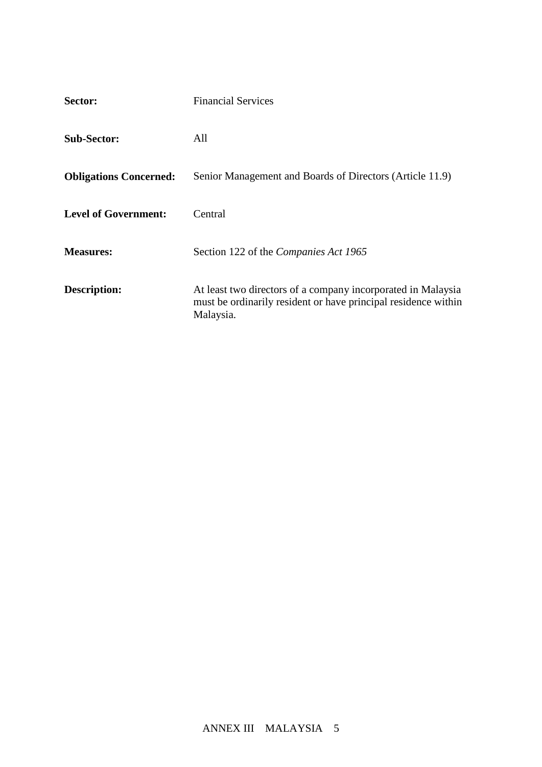| Sector:                       | <b>Financial Services</b>                                                                                                                   |
|-------------------------------|---------------------------------------------------------------------------------------------------------------------------------------------|
| <b>Sub-Sector:</b>            | All                                                                                                                                         |
| <b>Obligations Concerned:</b> | Senior Management and Boards of Directors (Article 11.9)                                                                                    |
| <b>Level of Government:</b>   | Central                                                                                                                                     |
| <b>Measures:</b>              | Section 122 of the Companies Act 1965                                                                                                       |
| Description:                  | At least two directors of a company incorporated in Malaysia<br>must be ordinarily resident or have principal residence within<br>Malaysia. |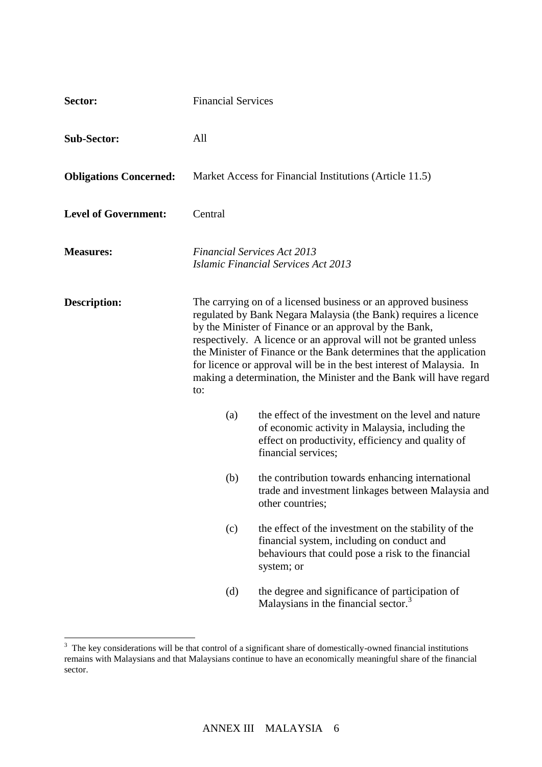| Sector:                       | <b>Financial Services</b>                                                                                                                                                                                                                                                                                                                                                                                                                                                                    |                                                                                                                                                                                     |  |
|-------------------------------|----------------------------------------------------------------------------------------------------------------------------------------------------------------------------------------------------------------------------------------------------------------------------------------------------------------------------------------------------------------------------------------------------------------------------------------------------------------------------------------------|-------------------------------------------------------------------------------------------------------------------------------------------------------------------------------------|--|
| <b>Sub-Sector:</b>            | All                                                                                                                                                                                                                                                                                                                                                                                                                                                                                          |                                                                                                                                                                                     |  |
| <b>Obligations Concerned:</b> |                                                                                                                                                                                                                                                                                                                                                                                                                                                                                              | Market Access for Financial Institutions (Article 11.5)                                                                                                                             |  |
| <b>Level of Government:</b>   | Central                                                                                                                                                                                                                                                                                                                                                                                                                                                                                      |                                                                                                                                                                                     |  |
| <b>Measures:</b>              |                                                                                                                                                                                                                                                                                                                                                                                                                                                                                              | <b>Financial Services Act 2013</b><br><b>Islamic Financial Services Act 2013</b>                                                                                                    |  |
| <b>Description:</b>           | The carrying on of a licensed business or an approved business<br>regulated by Bank Negara Malaysia (the Bank) requires a licence<br>by the Minister of Finance or an approval by the Bank,<br>respectively. A licence or an approval will not be granted unless<br>the Minister of Finance or the Bank determines that the application<br>for licence or approval will be in the best interest of Malaysia. In<br>making a determination, the Minister and the Bank will have regard<br>to: |                                                                                                                                                                                     |  |
|                               | (a)                                                                                                                                                                                                                                                                                                                                                                                                                                                                                          | the effect of the investment on the level and nature<br>of economic activity in Malaysia, including the<br>effect on productivity, efficiency and quality of<br>financial services; |  |
|                               | (b)                                                                                                                                                                                                                                                                                                                                                                                                                                                                                          | the contribution towards enhancing international<br>trade and investment linkages between Malaysia and<br>other countries;                                                          |  |
|                               | (c)                                                                                                                                                                                                                                                                                                                                                                                                                                                                                          | the effect of the investment on the stability of the<br>financial system, including on conduct and<br>behaviours that could pose a risk to the financial<br>system; or              |  |
|                               | (d)                                                                                                                                                                                                                                                                                                                                                                                                                                                                                          | the degree and significance of participation of<br>Malaysians in the financial sector. <sup>3</sup>                                                                                 |  |

<sup>&</sup>lt;sup>3</sup> The key considerations will be that control of a significant share of domestically-owned financial institutions remains with Malaysians and that Malaysians continue to have an economically meaningful share of the financial sector.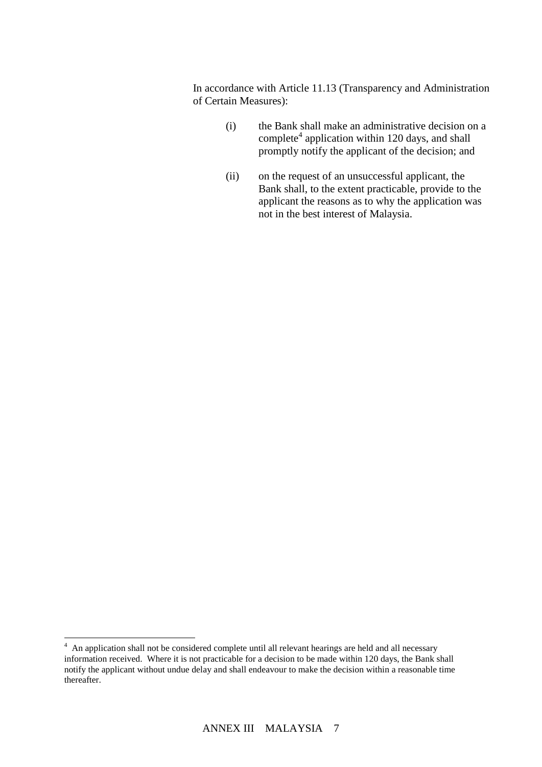In accordance with Article 11.13 (Transparency and Administration of Certain Measures):

- (i) the Bank shall make an administrative decision on a complete<sup>4</sup> application within 120 days, and shall promptly notify the applicant of the decision; and
- (ii) on the request of an unsuccessful applicant, the Bank shall, to the extent practicable, provide to the applicant the reasons as to why the application was not in the best interest of Malaysia.

 4 An application shall not be considered complete until all relevant hearings are held and all necessary information received. Where it is not practicable for a decision to be made within 120 days, the Bank shall notify the applicant without undue delay and shall endeavour to make the decision within a reasonable time thereafter.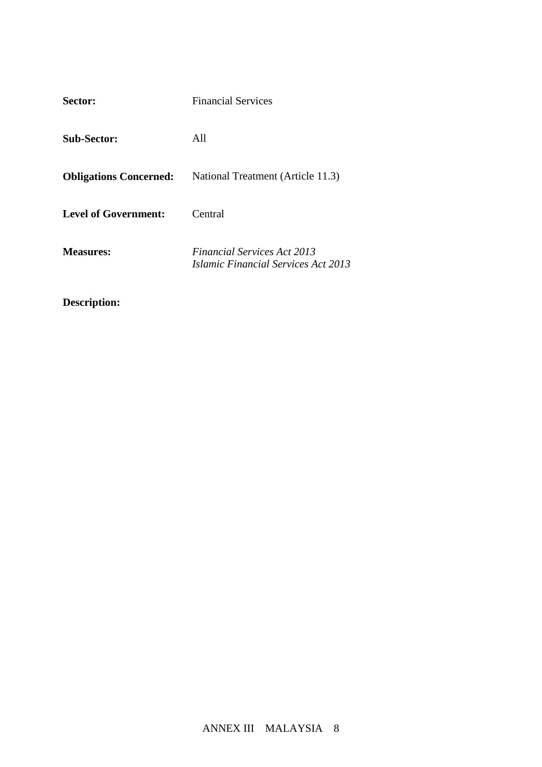| Sector:                       | <b>Financial Services</b>                                                               |
|-------------------------------|-----------------------------------------------------------------------------------------|
| <b>Sub-Sector:</b>            | All                                                                                     |
| <b>Obligations Concerned:</b> | National Treatment (Article 11.3)                                                       |
| <b>Level of Government:</b>   | Central                                                                                 |
| <b>Measures:</b>              | <b>Financial Services Act 2013</b><br><i><b>Islamic Financial Services Act 2013</b></i> |

**Description:**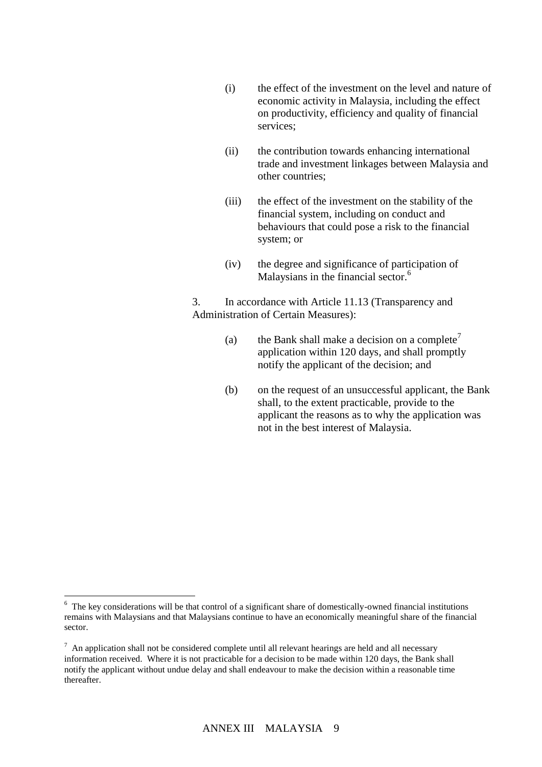- (i) the effect of the investment on the level and nature of economic activity in Malaysia, including the effect on productivity, efficiency and quality of financial services;
- (ii) the contribution towards enhancing international trade and investment linkages between Malaysia and other countries;
- (iii) the effect of the investment on the stability of the financial system, including on conduct and behaviours that could pose a risk to the financial system; or
- (iv) the degree and significance of participation of Malaysians in the financial sector.<sup>6</sup>

3. In accordance with Article 11.13 (Transparency and Administration of Certain Measures):

- (a) the Bank shall make a decision on a complete<sup>7</sup> application within 120 days, and shall promptly notify the applicant of the decision; and
- (b) on the request of an unsuccessful applicant, the Bank shall, to the extent practicable, provide to the applicant the reasons as to why the application was not in the best interest of Malaysia.

 $\overline{a}$ 

<sup>&</sup>lt;sup>6</sup> The key considerations will be that control of a significant share of domestically-owned financial institutions remains with Malaysians and that Malaysians continue to have an economically meaningful share of the financial sector.

 $<sup>7</sup>$  An application shall not be considered complete until all relevant hearings are held and all necessary</sup> information received. Where it is not practicable for a decision to be made within 120 days, the Bank shall notify the applicant without undue delay and shall endeavour to make the decision within a reasonable time thereafter.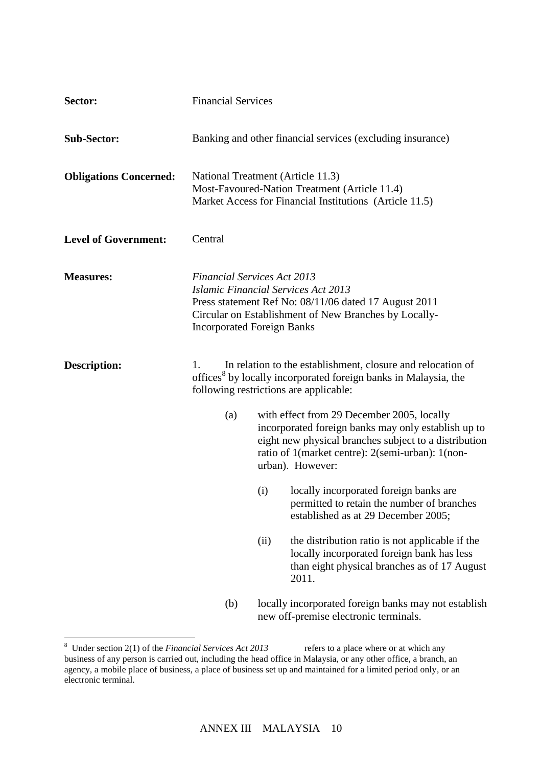| Sector:                       | <b>Financial Services</b>                                                                                                                                                                              |      |                                                                                                                                                                                                                                    |
|-------------------------------|--------------------------------------------------------------------------------------------------------------------------------------------------------------------------------------------------------|------|------------------------------------------------------------------------------------------------------------------------------------------------------------------------------------------------------------------------------------|
| <b>Sub-Sector:</b>            |                                                                                                                                                                                                        |      | Banking and other financial services (excluding insurance)                                                                                                                                                                         |
| <b>Obligations Concerned:</b> | National Treatment (Article 11.3)                                                                                                                                                                      |      | Most-Favoured-Nation Treatment (Article 11.4)<br>Market Access for Financial Institutions (Article 11.5)                                                                                                                           |
| <b>Level of Government:</b>   | Central                                                                                                                                                                                                |      |                                                                                                                                                                                                                                    |
| <b>Measures:</b>              | <b>Financial Services Act 2013</b><br><b>Islamic Financial Services Act 2013</b><br><b>Incorporated Foreign Banks</b>                                                                                  |      | Press statement Ref No: 08/11/06 dated 17 August 2011<br>Circular on Establishment of New Branches by Locally-                                                                                                                     |
| <b>Description:</b>           | In relation to the establishment, closure and relocation of<br>$\mathbf{1}$ .<br>offices <sup>8</sup> by locally incorporated foreign banks in Malaysia, the<br>following restrictions are applicable: |      |                                                                                                                                                                                                                                    |
|                               | (a)                                                                                                                                                                                                    |      | with effect from 29 December 2005, locally<br>incorporated foreign banks may only establish up to<br>eight new physical branches subject to a distribution<br>ratio of 1(market centre): 2(semi-urban): 1(non-<br>urban). However: |
|                               |                                                                                                                                                                                                        | (i)  | locally incorporated foreign banks are<br>permitted to retain the number of branches<br>established as at 29 December 2005;                                                                                                        |
|                               |                                                                                                                                                                                                        | (ii) | the distribution ratio is not applicable if the<br>locally incorporated foreign bank has less<br>than eight physical branches as of 17 August<br>2011.                                                                             |
|                               | (b)                                                                                                                                                                                                    |      | locally incorporated foreign banks may not establish<br>new off-premise electronic terminals.                                                                                                                                      |

<sup>&</sup>lt;sup>8</sup> Under section 2(1) of the *Financial Services Act 2013* refers to a place where or at which any business of any person is carried out, including the head office in Malaysia, or any other office, a branch, an agency, a mobile place of business, a place of business set up and maintained for a limited period only, or an electronic terminal.

 $\overline{a}$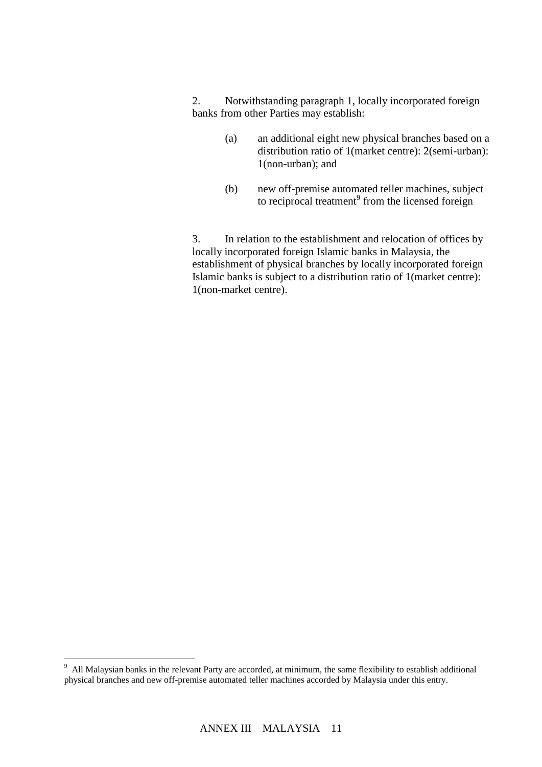2. Notwithstanding paragraph 1, locally incorporated foreign banks from other Parties may establish:

- (a) an additional eight new physical branches based on a distribution ratio of 1(market centre): 2(semi-urban): 1(non-urban); and
- (b) new off-premise automated teller machines, subject to reciprocal treatment<sup>9</sup> from the licensed foreign

3. In relation to the establishment and relocation of offices by locally incorporated foreign Islamic banks in Malaysia, the establishment of physical branches by locally incorporated foreign Islamic banks is subject to a distribution ratio of 1(market centre): 1(non-market centre).

<sup>-&</sup>lt;br>9 All Malaysian banks in the relevant Party are accorded, at minimum, the same flexibility to establish additional physical branches and new off-premise automated teller machines accorded by Malaysia under this entry.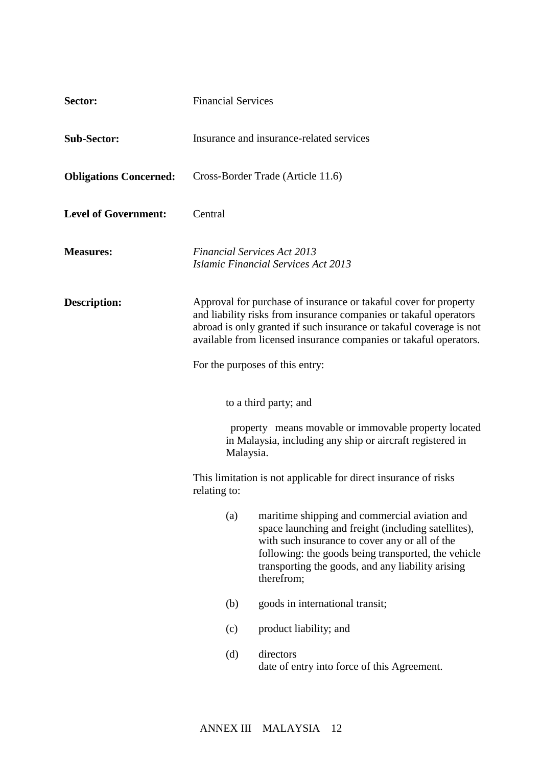| Sector:                       | <b>Financial Services</b>                                                                                                                                                                                                                                                         |                                                                                                                                                                                                                                                                                  |
|-------------------------------|-----------------------------------------------------------------------------------------------------------------------------------------------------------------------------------------------------------------------------------------------------------------------------------|----------------------------------------------------------------------------------------------------------------------------------------------------------------------------------------------------------------------------------------------------------------------------------|
| <b>Sub-Sector:</b>            | Insurance and insurance-related services                                                                                                                                                                                                                                          |                                                                                                                                                                                                                                                                                  |
| <b>Obligations Concerned:</b> | Cross-Border Trade (Article 11.6)                                                                                                                                                                                                                                                 |                                                                                                                                                                                                                                                                                  |
| <b>Level of Government:</b>   | Central                                                                                                                                                                                                                                                                           |                                                                                                                                                                                                                                                                                  |
| <b>Measures:</b>              | <b>Financial Services Act 2013</b><br><b>Islamic Financial Services Act 2013</b>                                                                                                                                                                                                  |                                                                                                                                                                                                                                                                                  |
| <b>Description:</b>           | Approval for purchase of insurance or takaful cover for property<br>and liability risks from insurance companies or takaful operators<br>abroad is only granted if such insurance or takaful coverage is not<br>available from licensed insurance companies or takaful operators. |                                                                                                                                                                                                                                                                                  |
|                               | For the purposes of this entry:                                                                                                                                                                                                                                                   |                                                                                                                                                                                                                                                                                  |
|                               | to a third party; and                                                                                                                                                                                                                                                             |                                                                                                                                                                                                                                                                                  |
|                               | property means movable or immovable property located<br>in Malaysia, including any ship or aircraft registered in<br>Malaysia.                                                                                                                                                    |                                                                                                                                                                                                                                                                                  |
|                               | This limitation is not applicable for direct insurance of risks<br>relating to:                                                                                                                                                                                                   |                                                                                                                                                                                                                                                                                  |
|                               | (a)                                                                                                                                                                                                                                                                               | maritime shipping and commercial aviation and<br>space launching and freight (including satellites),<br>with such insurance to cover any or all of the<br>following: the goods being transported, the vehicle<br>transporting the goods, and any liability arising<br>therefrom; |
|                               | (b)                                                                                                                                                                                                                                                                               | goods in international transit;                                                                                                                                                                                                                                                  |
|                               | (c)                                                                                                                                                                                                                                                                               | product liability; and                                                                                                                                                                                                                                                           |
|                               | (d)                                                                                                                                                                                                                                                                               | directors<br>date of entry into force of this Agreement.                                                                                                                                                                                                                         |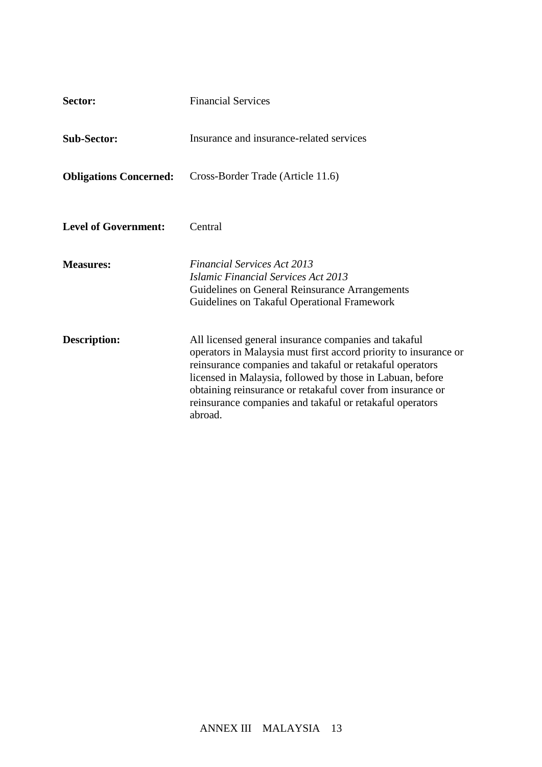| Sector:                       | <b>Financial Services</b>                                                                                                                                                                                                                                                                                                                                                              |
|-------------------------------|----------------------------------------------------------------------------------------------------------------------------------------------------------------------------------------------------------------------------------------------------------------------------------------------------------------------------------------------------------------------------------------|
| <b>Sub-Sector:</b>            | Insurance and insurance-related services                                                                                                                                                                                                                                                                                                                                               |
| <b>Obligations Concerned:</b> | Cross-Border Trade (Article 11.6)                                                                                                                                                                                                                                                                                                                                                      |
| <b>Level of Government:</b>   | Central                                                                                                                                                                                                                                                                                                                                                                                |
| <b>Measures:</b>              | <b>Financial Services Act 2013</b><br><b>Islamic Financial Services Act 2013</b><br>Guidelines on General Reinsurance Arrangements<br>Guidelines on Takaful Operational Framework                                                                                                                                                                                                      |
| Description:                  | All licensed general insurance companies and takaful<br>operators in Malaysia must first accord priority to insurance or<br>reinsurance companies and takaful or retakaful operators<br>licensed in Malaysia, followed by those in Labuan, before<br>obtaining reinsurance or retakaful cover from insurance or<br>reinsurance companies and takaful or retakaful operators<br>abroad. |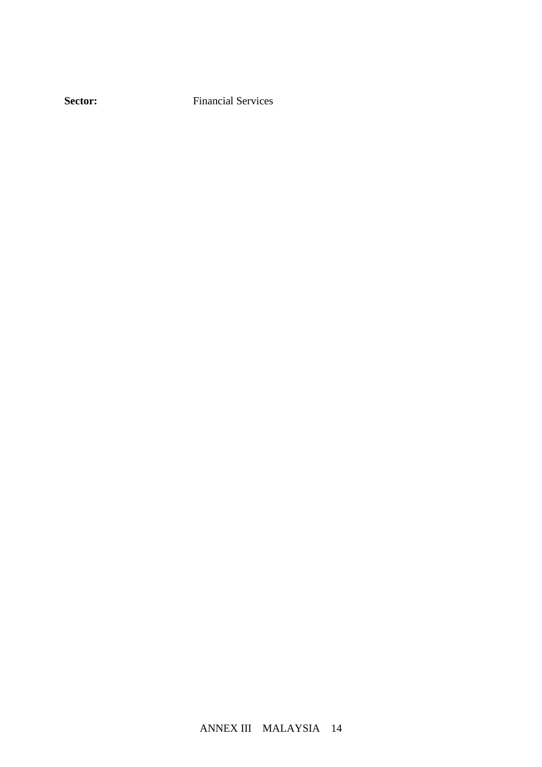**Sector:** Financial Services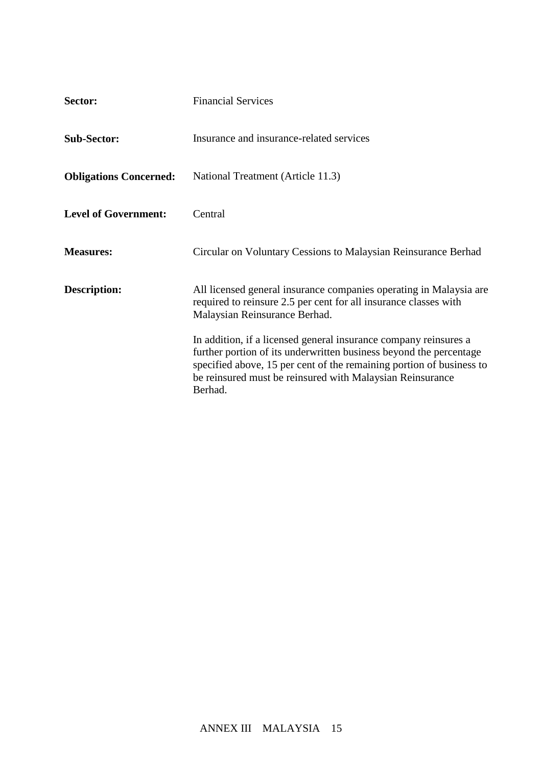| Sector:                       | <b>Financial Services</b>                                                                                                                                                                                                                                                              |
|-------------------------------|----------------------------------------------------------------------------------------------------------------------------------------------------------------------------------------------------------------------------------------------------------------------------------------|
| <b>Sub-Sector:</b>            | Insurance and insurance-related services                                                                                                                                                                                                                                               |
| <b>Obligations Concerned:</b> | National Treatment (Article 11.3)                                                                                                                                                                                                                                                      |
| <b>Level of Government:</b>   | Central                                                                                                                                                                                                                                                                                |
| <b>Measures:</b>              | Circular on Voluntary Cessions to Malaysian Reinsurance Berhad                                                                                                                                                                                                                         |
| <b>Description:</b>           | All licensed general insurance companies operating in Malaysia are<br>required to reinsure 2.5 per cent for all insurance classes with<br>Malaysian Reinsurance Berhad.                                                                                                                |
|                               | In addition, if a licensed general insurance company reinsures a<br>further portion of its underwritten business beyond the percentage<br>specified above, 15 per cent of the remaining portion of business to<br>be reinsured must be reinsured with Malaysian Reinsurance<br>Berhad. |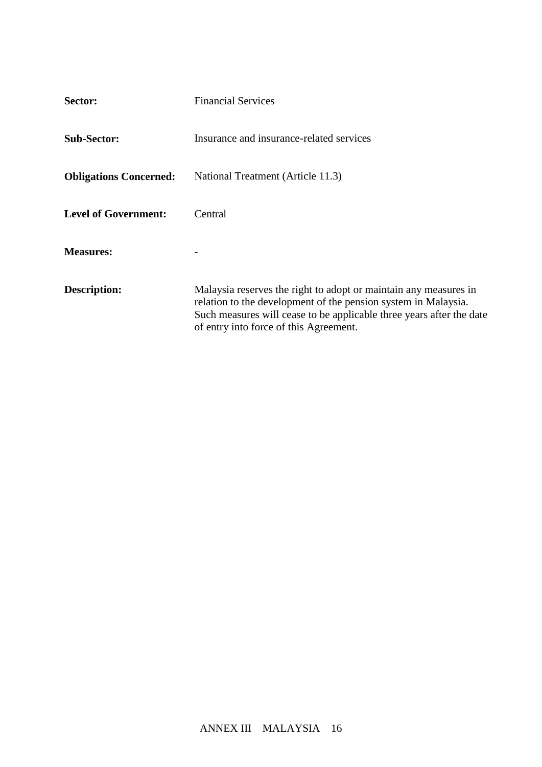| Sector:                       | <b>Financial Services</b>                                                                                                                                                                                                                            |
|-------------------------------|------------------------------------------------------------------------------------------------------------------------------------------------------------------------------------------------------------------------------------------------------|
| <b>Sub-Sector:</b>            | Insurance and insurance-related services                                                                                                                                                                                                             |
| <b>Obligations Concerned:</b> | National Treatment (Article 11.3)                                                                                                                                                                                                                    |
| <b>Level of Government:</b>   | Central                                                                                                                                                                                                                                              |
| <b>Measures:</b>              |                                                                                                                                                                                                                                                      |
| Description:                  | Malaysia reserves the right to adopt or maintain any measures in<br>relation to the development of the pension system in Malaysia.<br>Such measures will cease to be applicable three years after the date<br>of entry into force of this Agreement. |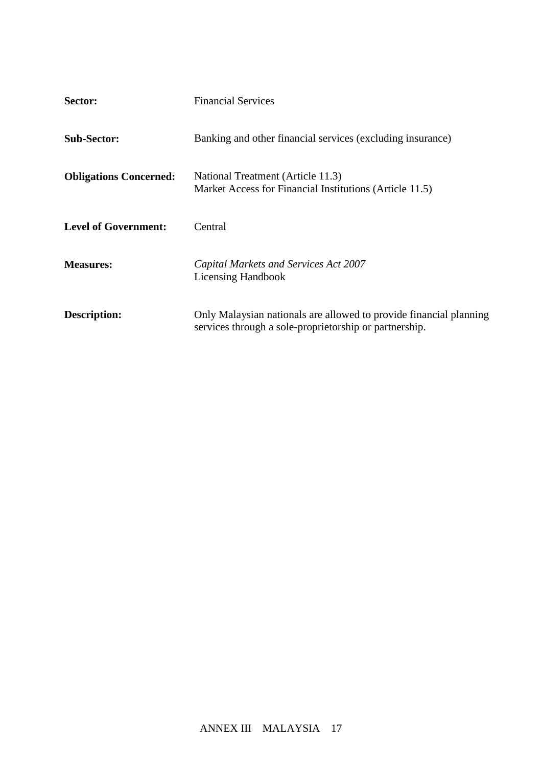| Sector:                       | <b>Financial Services</b>                                                                                                    |
|-------------------------------|------------------------------------------------------------------------------------------------------------------------------|
| <b>Sub-Sector:</b>            | Banking and other financial services (excluding insurance)                                                                   |
| <b>Obligations Concerned:</b> | National Treatment (Article 11.3)<br>Market Access for Financial Institutions (Article 11.5)                                 |
| <b>Level of Government:</b>   | Central                                                                                                                      |
| <b>Measures:</b>              | Capital Markets and Services Act 2007<br><b>Licensing Handbook</b>                                                           |
| <b>Description:</b>           | Only Malaysian nationals are allowed to provide financial planning<br>services through a sole-proprietorship or partnership. |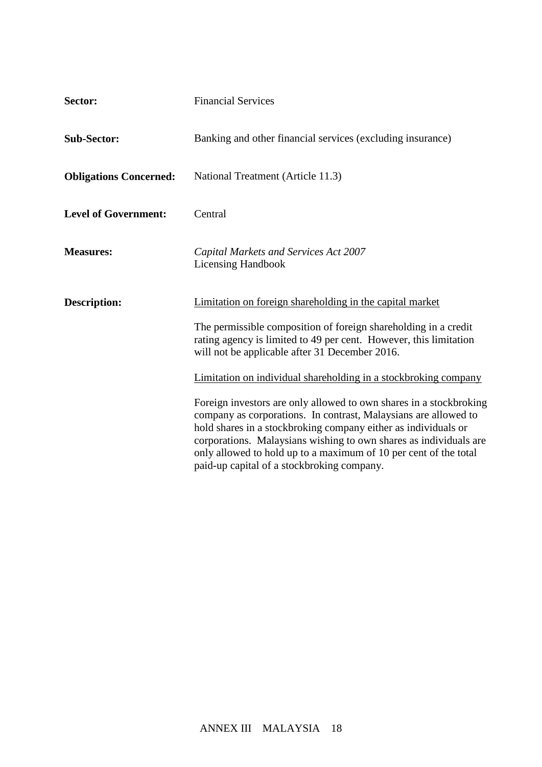| Sector:                       | <b>Financial Services</b>                                                                                                                                                                                                                                                                                                                                                                      |
|-------------------------------|------------------------------------------------------------------------------------------------------------------------------------------------------------------------------------------------------------------------------------------------------------------------------------------------------------------------------------------------------------------------------------------------|
| <b>Sub-Sector:</b>            | Banking and other financial services (excluding insurance)                                                                                                                                                                                                                                                                                                                                     |
| <b>Obligations Concerned:</b> | National Treatment (Article 11.3)                                                                                                                                                                                                                                                                                                                                                              |
| <b>Level of Government:</b>   | Central                                                                                                                                                                                                                                                                                                                                                                                        |
| <b>Measures:</b>              | Capital Markets and Services Act 2007<br><b>Licensing Handbook</b>                                                                                                                                                                                                                                                                                                                             |
| <b>Description:</b>           | Limitation on foreign shareholding in the capital market                                                                                                                                                                                                                                                                                                                                       |
|                               | The permissible composition of foreign shareholding in a credit<br>rating agency is limited to 49 per cent. However, this limitation<br>will not be applicable after 31 December 2016.                                                                                                                                                                                                         |
|                               | Limitation on individual shareholding in a stockbroking company                                                                                                                                                                                                                                                                                                                                |
|                               | Foreign investors are only allowed to own shares in a stockbroking<br>company as corporations. In contrast, Malaysians are allowed to<br>hold shares in a stockbroking company either as individuals or<br>corporations. Malaysians wishing to own shares as individuals are<br>only allowed to hold up to a maximum of 10 per cent of the total<br>paid-up capital of a stockbroking company. |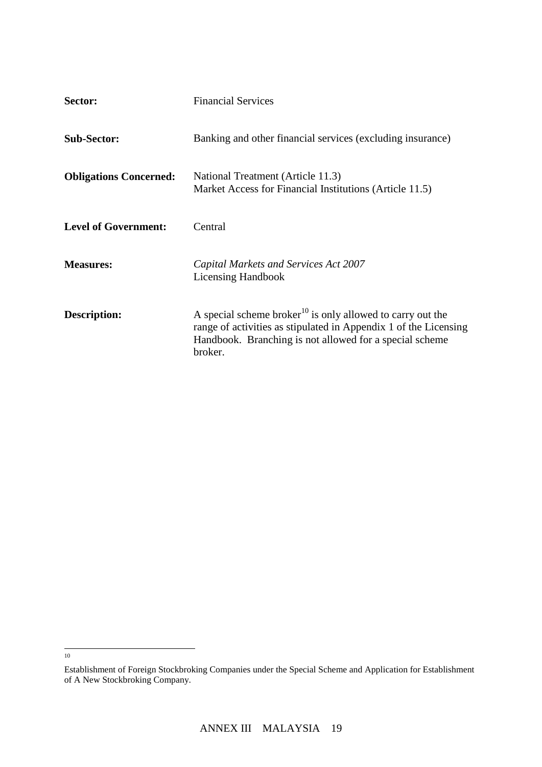| Sector:                       | <b>Financial Services</b>                                                                                                                                                                                        |
|-------------------------------|------------------------------------------------------------------------------------------------------------------------------------------------------------------------------------------------------------------|
| <b>Sub-Sector:</b>            | Banking and other financial services (excluding insurance)                                                                                                                                                       |
| <b>Obligations Concerned:</b> | National Treatment (Article 11.3)<br>Market Access for Financial Institutions (Article 11.5)                                                                                                                     |
| <b>Level of Government:</b>   | Central                                                                                                                                                                                                          |
| <b>Measures:</b>              | Capital Markets and Services Act 2007<br><b>Licensing Handbook</b>                                                                                                                                               |
| <b>Description:</b>           | A special scheme broker <sup>10</sup> is only allowed to carry out the<br>range of activities as stipulated in Appendix 1 of the Licensing<br>Handbook. Branching is not allowed for a special scheme<br>broker. |

<sup>&</sup>lt;sup>10</sup>

Establishment of Foreign Stockbroking Companies under the Special Scheme and Application for Establishment of A New Stockbroking Company.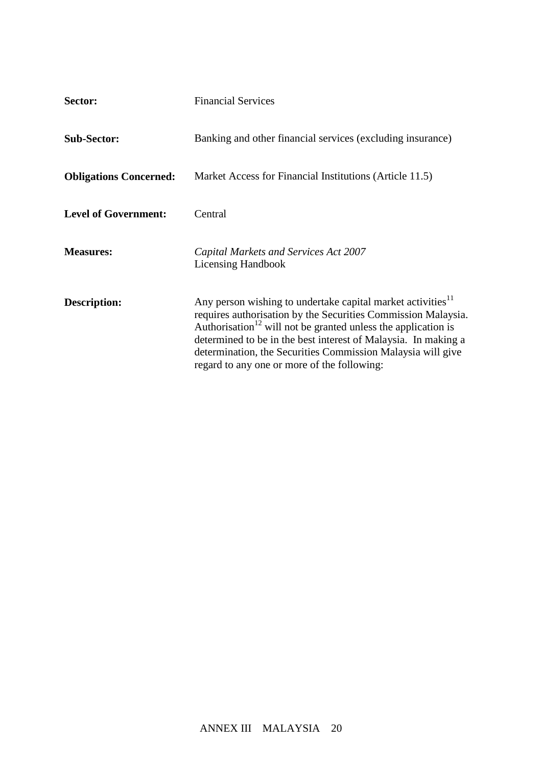| Sector:                       | <b>Financial Services</b>                                                                                                                                                                                                                                                                                                                                                                             |  |  |
|-------------------------------|-------------------------------------------------------------------------------------------------------------------------------------------------------------------------------------------------------------------------------------------------------------------------------------------------------------------------------------------------------------------------------------------------------|--|--|
| <b>Sub-Sector:</b>            | Banking and other financial services (excluding insurance)                                                                                                                                                                                                                                                                                                                                            |  |  |
| <b>Obligations Concerned:</b> | Market Access for Financial Institutions (Article 11.5)                                                                                                                                                                                                                                                                                                                                               |  |  |
| <b>Level of Government:</b>   | Central                                                                                                                                                                                                                                                                                                                                                                                               |  |  |
| <b>Measures:</b>              | Capital Markets and Services Act 2007<br><b>Licensing Handbook</b>                                                                                                                                                                                                                                                                                                                                    |  |  |
| <b>Description:</b>           | Any person wishing to undertake capital market activities <sup>11</sup><br>requires authorisation by the Securities Commission Malaysia.<br>Authorisation <sup>12</sup> will not be granted unless the application is<br>determined to be in the best interest of Malaysia. In making a<br>determination, the Securities Commission Malaysia will give<br>regard to any one or more of the following: |  |  |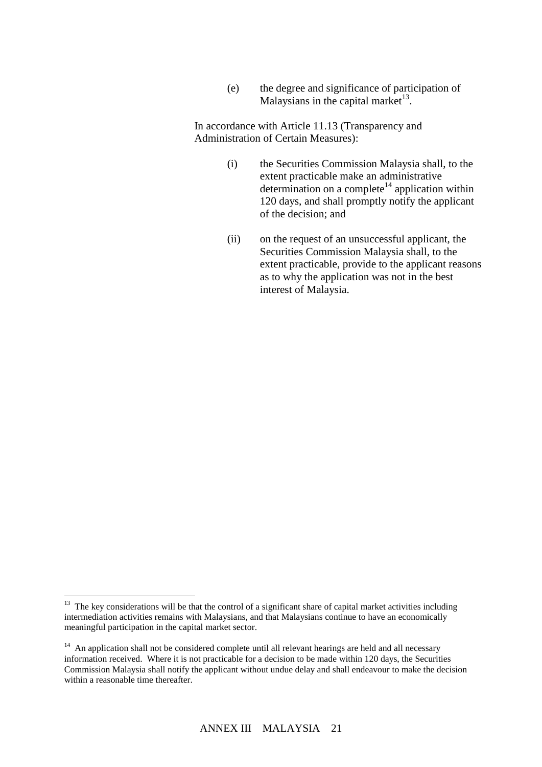(e) the degree and significance of participation of Malaysians in the capital market $^{13}$ .

In accordance with Article 11.13 (Transparency and Administration of Certain Measures):

- (i) the Securities Commission Malaysia shall, to the extent practicable make an administrative determination on a complete<sup>14</sup> application within 120 days, and shall promptly notify the applicant of the decision; and
- (ii) on the request of an unsuccessful applicant, the Securities Commission Malaysia shall, to the extent practicable, provide to the applicant reasons as to why the application was not in the best interest of Malaysia.

<sup>&</sup>lt;sup>13</sup> The key considerations will be that the control of a significant share of capital market activities including intermediation activities remains with Malaysians, and that Malaysians continue to have an economically meaningful participation in the capital market sector.

<sup>&</sup>lt;sup>14</sup> An application shall not be considered complete until all relevant hearings are held and all necessary information received. Where it is not practicable for a decision to be made within 120 days, the Securities Commission Malaysia shall notify the applicant without undue delay and shall endeavour to make the decision within a reasonable time thereafter.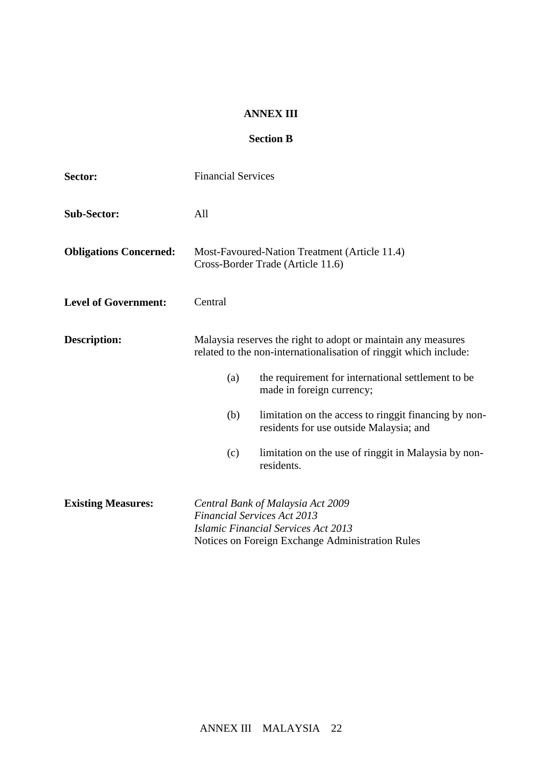### **ANNEX III**

## **Section B**

| Sector:                       | <b>Financial Services</b>                                                                                                                                                 |  |  |  |  |
|-------------------------------|---------------------------------------------------------------------------------------------------------------------------------------------------------------------------|--|--|--|--|
| <b>Sub-Sector:</b>            | All                                                                                                                                                                       |  |  |  |  |
| <b>Obligations Concerned:</b> | Most-Favoured-Nation Treatment (Article 11.4)<br>Cross-Border Trade (Article 11.6)                                                                                        |  |  |  |  |
| <b>Level of Government:</b>   | Central                                                                                                                                                                   |  |  |  |  |
| <b>Description:</b>           | Malaysia reserves the right to adopt or maintain any measures<br>related to the non-internationalisation of ringgit which include:                                        |  |  |  |  |
|                               | the requirement for international settlement to be<br>(a)<br>made in foreign currency;                                                                                    |  |  |  |  |
|                               | (b)<br>limitation on the access to ringgit financing by non-<br>residents for use outside Malaysia; and                                                                   |  |  |  |  |
|                               | limitation on the use of ringgit in Malaysia by non-<br>(c)<br>residents.                                                                                                 |  |  |  |  |
| <b>Existing Measures:</b>     | Central Bank of Malaysia Act 2009<br><b>Financial Services Act 2013</b><br><b>Islamic Financial Services Act 2013</b><br>Notices on Foreign Exchange Administration Rules |  |  |  |  |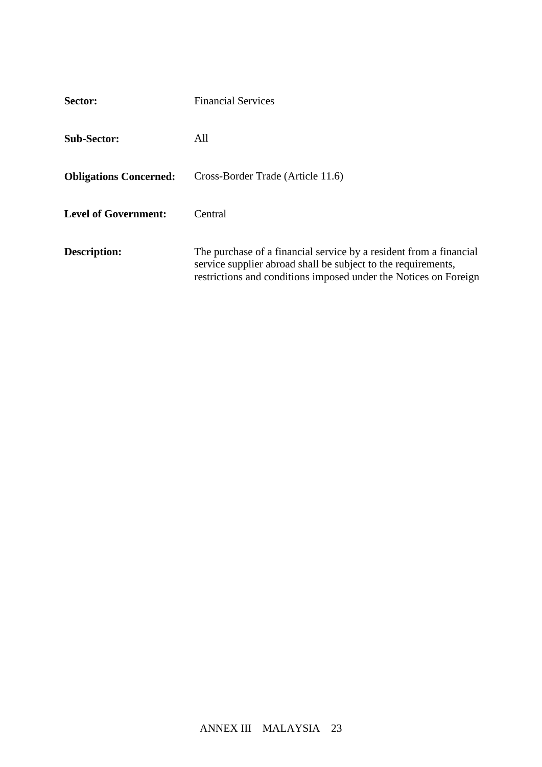| Sector:                       | <b>Financial Services</b>                                                                                                                                                                               |
|-------------------------------|---------------------------------------------------------------------------------------------------------------------------------------------------------------------------------------------------------|
| <b>Sub-Sector:</b>            | All                                                                                                                                                                                                     |
| <b>Obligations Concerned:</b> | Cross-Border Trade (Article 11.6)                                                                                                                                                                       |
| <b>Level of Government:</b>   | Central                                                                                                                                                                                                 |
| Description:                  | The purchase of a financial service by a resident from a financial<br>service supplier abroad shall be subject to the requirements,<br>restrictions and conditions imposed under the Notices on Foreign |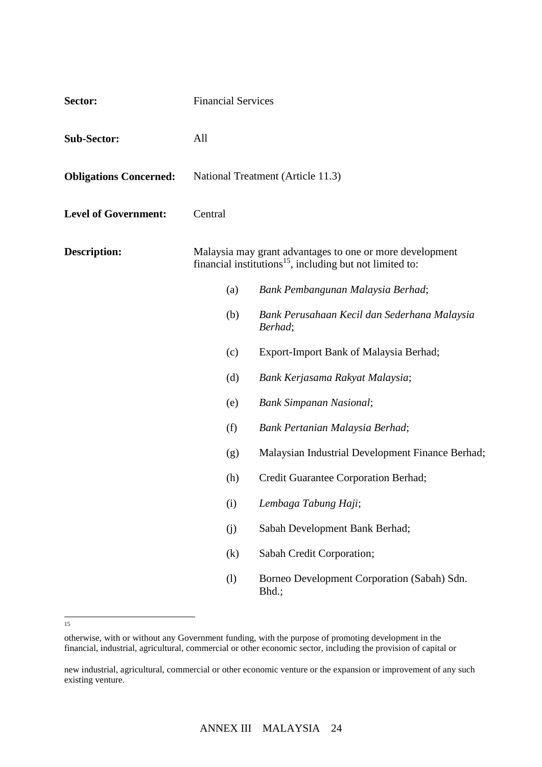| Sector:                       | <b>Financial Services</b>                                                                                                        |                                                         |  |  |  |
|-------------------------------|----------------------------------------------------------------------------------------------------------------------------------|---------------------------------------------------------|--|--|--|
| <b>Sub-Sector:</b>            | All                                                                                                                              |                                                         |  |  |  |
| <b>Obligations Concerned:</b> | National Treatment (Article 11.3)                                                                                                |                                                         |  |  |  |
| <b>Level of Government:</b>   | Central                                                                                                                          |                                                         |  |  |  |
| <b>Description:</b>           | Malaysia may grant advantages to one or more development<br>financial institutions <sup>15</sup> , including but not limited to: |                                                         |  |  |  |
|                               | (a)                                                                                                                              | Bank Pembangunan Malaysia Berhad;                       |  |  |  |
|                               | (b)                                                                                                                              | Bank Perusahaan Kecil dan Sederhana Malaysia<br>Berhad; |  |  |  |
|                               | (c)                                                                                                                              | Export-Import Bank of Malaysia Berhad;                  |  |  |  |
|                               | (d)                                                                                                                              | Bank Kerjasama Rakyat Malaysia;                         |  |  |  |
|                               | (e)                                                                                                                              | <b>Bank Simpanan Nasional;</b>                          |  |  |  |
|                               | (f)                                                                                                                              | Bank Pertanian Malaysia Berhad;                         |  |  |  |
|                               | (g)                                                                                                                              | Malaysian Industrial Development Finance Berhad;        |  |  |  |
|                               | (h)                                                                                                                              | Credit Guarantee Corporation Berhad;                    |  |  |  |
|                               | (i)                                                                                                                              | Lembaga Tabung Haji;                                    |  |  |  |
|                               | (j)                                                                                                                              | Sabah Development Bank Berhad;                          |  |  |  |
|                               | (k)                                                                                                                              | Sabah Credit Corporation;                               |  |  |  |
|                               | (1)                                                                                                                              | Borneo Development Corporation (Sabah) Sdn.<br>Bhd.;    |  |  |  |

 15

otherwise, with or without any Government funding, with the purpose of promoting development in the financial, industrial, agricultural, commercial or other economic sector, including the provision of capital or

new industrial, agricultural, commercial or other economic venture or the expansion or improvement of any such existing venture.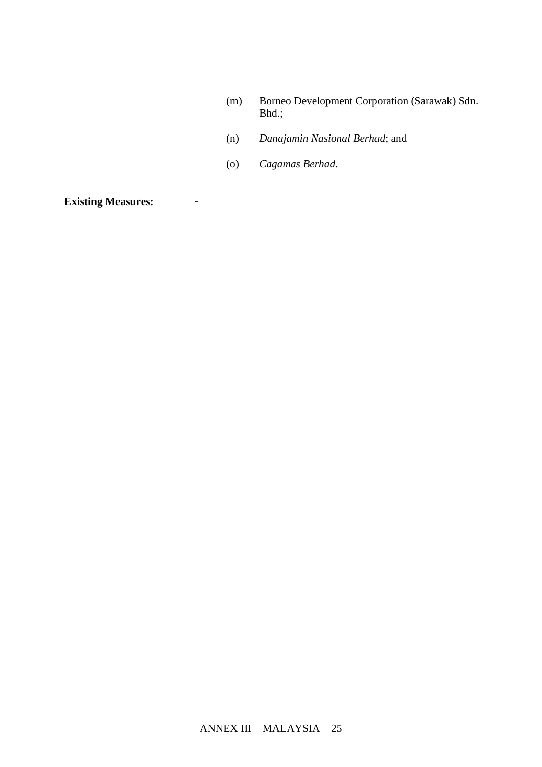- (m) Borneo Development Corporation (Sarawak) Sdn. Bhd.;
- (n) *Danajamin Nasional Berhad*; and
- (o) *Cagamas Berhad*.

**Existing Measures:** -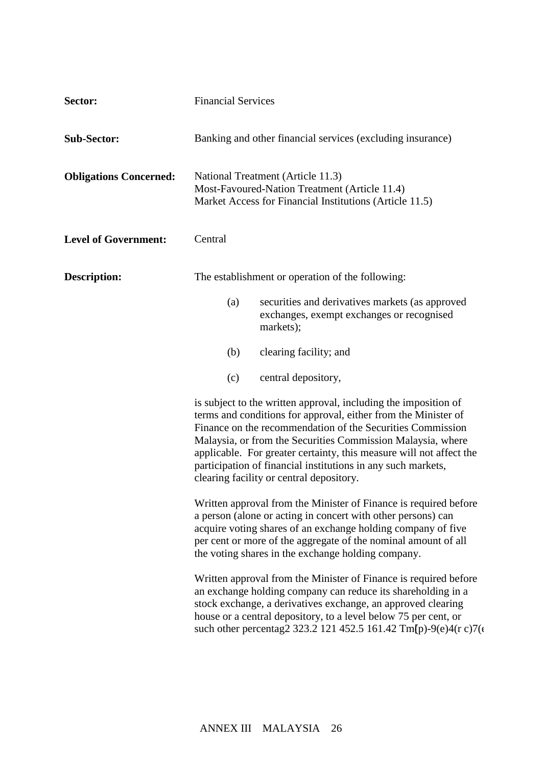| Sector:                       | <b>Financial Services</b>                                                                                                                                                                                                                                                                                                                                                                                                                                                                                                                                                                                                                                                                                                                                                     |  |  |  |
|-------------------------------|-------------------------------------------------------------------------------------------------------------------------------------------------------------------------------------------------------------------------------------------------------------------------------------------------------------------------------------------------------------------------------------------------------------------------------------------------------------------------------------------------------------------------------------------------------------------------------------------------------------------------------------------------------------------------------------------------------------------------------------------------------------------------------|--|--|--|
| <b>Sub-Sector:</b>            | Banking and other financial services (excluding insurance)                                                                                                                                                                                                                                                                                                                                                                                                                                                                                                                                                                                                                                                                                                                    |  |  |  |
| <b>Obligations Concerned:</b> | National Treatment (Article 11.3)<br>Most-Favoured-Nation Treatment (Article 11.4)<br>Market Access for Financial Institutions (Article 11.5)                                                                                                                                                                                                                                                                                                                                                                                                                                                                                                                                                                                                                                 |  |  |  |
| <b>Level of Government:</b>   | Central                                                                                                                                                                                                                                                                                                                                                                                                                                                                                                                                                                                                                                                                                                                                                                       |  |  |  |
| <b>Description:</b>           | The establishment or operation of the following:                                                                                                                                                                                                                                                                                                                                                                                                                                                                                                                                                                                                                                                                                                                              |  |  |  |
|                               | securities and derivatives markets (as approved<br>(a)<br>exchanges, exempt exchanges or recognised<br>markets);                                                                                                                                                                                                                                                                                                                                                                                                                                                                                                                                                                                                                                                              |  |  |  |
|                               | clearing facility; and<br>(b)                                                                                                                                                                                                                                                                                                                                                                                                                                                                                                                                                                                                                                                                                                                                                 |  |  |  |
|                               | central depository,<br>(c)                                                                                                                                                                                                                                                                                                                                                                                                                                                                                                                                                                                                                                                                                                                                                    |  |  |  |
|                               | is subject to the written approval, including the imposition of<br>terms and conditions for approval, either from the Minister of<br>Finance on the recommendation of the Securities Commission<br>Malaysia, or from the Securities Commission Malaysia, where<br>applicable. For greater certainty, this measure will not affect the<br>participation of financial institutions in any such markets,<br>clearing facility or central depository.<br>Written approval from the Minister of Finance is required before<br>a person (alone or acting in concert with other persons) can<br>acquire voting shares of an exchange holding company of five<br>per cent or more of the aggregate of the nominal amount of all<br>the voting shares in the exchange holding company. |  |  |  |
|                               |                                                                                                                                                                                                                                                                                                                                                                                                                                                                                                                                                                                                                                                                                                                                                                               |  |  |  |
|                               | Written approval from the Minister of Finance is required before<br>an exchange holding company can reduce its shareholding in a<br>stock exchange, a derivatives exchange, an approved clearing<br>house or a central depository, to a level below 75 per cent, or<br>su                                                                                                                                                                                                                                                                                                                                                                                                                                                                                                     |  |  |  |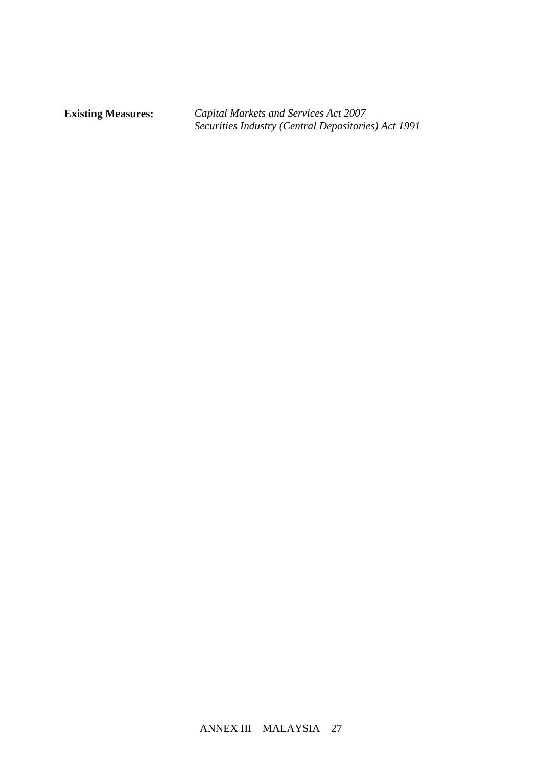**Existing Measures:** *Capital Markets and Services Act 2007 Securities Industry (Central Depositories) Act 1991*